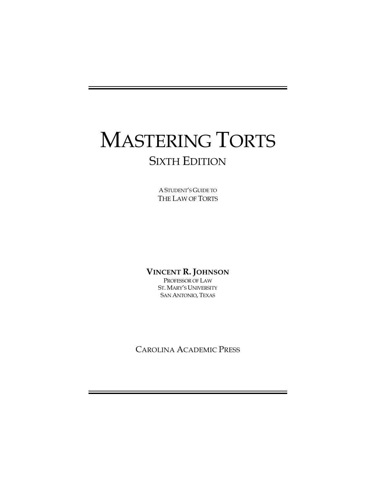# MASTERING TORTS SIXTH EDITION

A STUDENT'S GUIDE TO THE LAW OF TORTS

#### **VINCENT R. JOHNSON**

PROFESSOR OF LAW ST. MARY'S UNIVERSITY SAN ANTONIO, TEXAS

CAROLINA ACADEMIC PRESS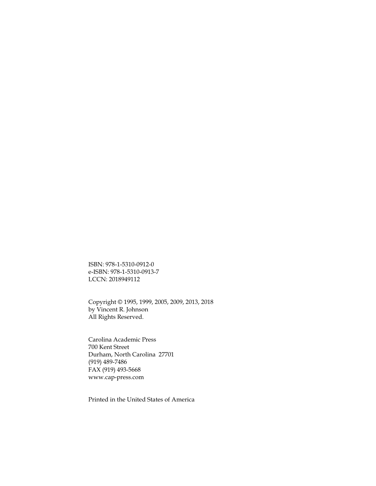ISBN: 978-1-5310-0912-0 e-ISBN: 978-1-5310-0913-7 LCCN: 2018949112

Copyright © 1995, 1999, 2005, 2009, 2013, 2018 by Vincent R. Johnson All Rights Reserved.

Carolina Academic Press 700 Kent Street Durham, North Carolina 27701 (919) 489-7486 FAX (919) 493-5668 www.cap-press.com

Printed in the United States of America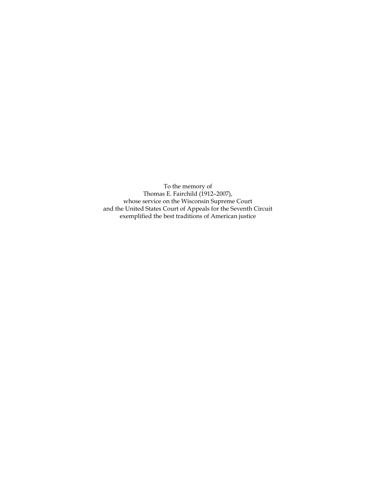To the memory of Thomas E. Fairchild (1912-2007), whose service on the Wisconsin Supreme Court and the United States Court of Appeals for the Seventh Circuit exemplified the best traditions of American justice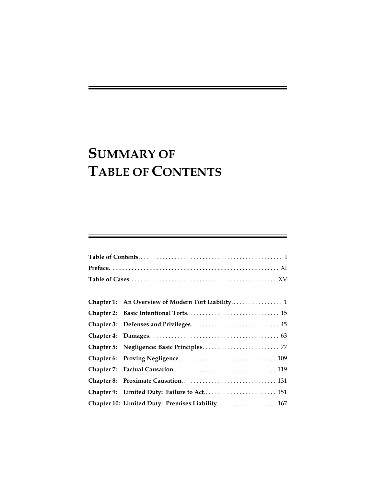# **SUMMARY OF TABLE OF CONTENTS**

|  | Chapter 9: Limited Duty: Failure to Act 151        |  |  |  |  |
|--|----------------------------------------------------|--|--|--|--|
|  | Chapter 10: Limited Duty: Premises Liability.  167 |  |  |  |  |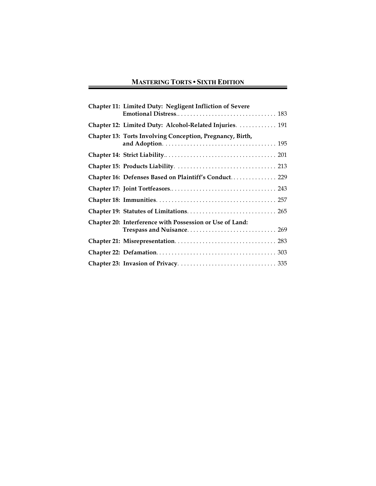#### **MASTERING TORTS • SIXTH EDITION**

 $\sim$   $\sim$ 

| Chapter 11: Limited Duty: Negligent Infliction of Severe  |
|-----------------------------------------------------------|
|                                                           |
| Chapter 12: Limited Duty: Alcohol-Related Injuries.  191  |
| Chapter 13: Torts Involving Conception, Pregnancy, Birth, |
|                                                           |
|                                                           |
| Chapter 16: Defenses Based on Plaintiff's Conduct 229     |
|                                                           |
|                                                           |
|                                                           |
| Chapter 20: Interference with Possession or Use of Land:  |
|                                                           |
|                                                           |
|                                                           |
|                                                           |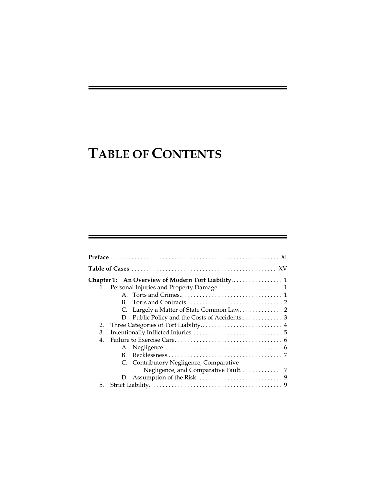# **TABLE OF CONTENTS**

| Chapter 1:                              |                                            |
|-----------------------------------------|--------------------------------------------|
|                                         |                                            |
|                                         |                                            |
| B.                                      |                                            |
|                                         | C. Largely a Matter of State Common Law. 2 |
|                                         |                                            |
| 2.                                      |                                            |
| 3.                                      |                                            |
| 4.                                      |                                            |
|                                         |                                            |
| В.                                      |                                            |
| C. Contributory Negligence, Comparative |                                            |
|                                         |                                            |
|                                         |                                            |
| 5.                                      |                                            |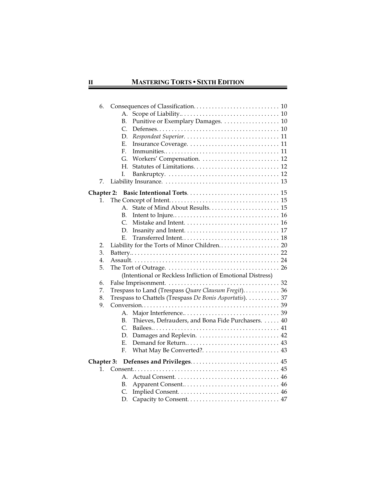$\sim$   $\sim$   $\sim$ 

| 6.         |                                                                                                        |  |
|------------|--------------------------------------------------------------------------------------------------------|--|
|            | А.                                                                                                     |  |
|            | Punitive or Exemplary Damages. 10<br>В.                                                                |  |
|            | $\mathcal{C}$                                                                                          |  |
|            | D.                                                                                                     |  |
|            | Е.                                                                                                     |  |
|            | $\mathbf{F}_{\cdot}$                                                                                   |  |
|            | G.<br>Workers' Compensation.  12                                                                       |  |
|            | Н.                                                                                                     |  |
|            | L.                                                                                                     |  |
| 7.         |                                                                                                        |  |
| Chapter 2: |                                                                                                        |  |
| 1.         |                                                                                                        |  |
|            | $A_{-}$                                                                                                |  |
|            | В.                                                                                                     |  |
|            | $\mathcal{C}_{\cdot}$                                                                                  |  |
|            | D.                                                                                                     |  |
|            | Е.                                                                                                     |  |
| 2.         |                                                                                                        |  |
| 3.         |                                                                                                        |  |
| 4.         |                                                                                                        |  |
| 5.         | The Tort of Outrage. $\ldots \ldots \ldots \ldots \ldots \ldots \ldots \ldots \ldots \ldots \ldots 26$ |  |
|            | (Intentional or Reckless Infliction of Emotional Distress)                                             |  |
| 6.         |                                                                                                        |  |
| 7.         | Trespass to Land (Trespass Quare Clausum Fregit) 36                                                    |  |
| 8.         | Trespass to Chattels (Trespass De Bonis Asportatis). 37                                                |  |
| 9.         |                                                                                                        |  |
|            | А.<br>Thieves, Defrauders, and Bona Fide Purchasers.  40<br>В.                                         |  |
|            | $\mathcal{C}_{\cdot}$                                                                                  |  |
|            | Damages and Replevin.  42<br>D.                                                                        |  |
|            | Е.                                                                                                     |  |
|            | F.                                                                                                     |  |
|            |                                                                                                        |  |
| Chapter 3: |                                                                                                        |  |
| 1.         | А.                                                                                                     |  |
|            | В.                                                                                                     |  |
|            | C.                                                                                                     |  |
|            |                                                                                                        |  |
|            | D.                                                                                                     |  |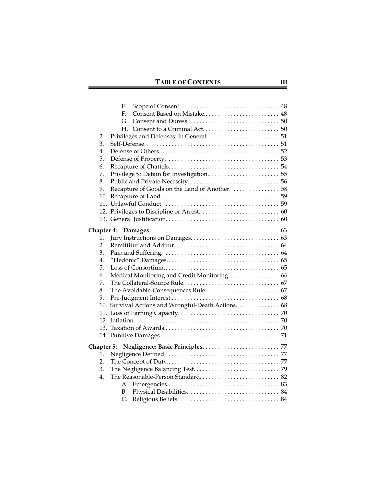|                   |    | Е.                                                  |  |
|-------------------|----|-----------------------------------------------------|--|
|                   |    | Consent Based on Mistake 48<br>F.                   |  |
|                   |    | G.                                                  |  |
|                   |    | H.                                                  |  |
|                   | 2. |                                                     |  |
|                   | 3. |                                                     |  |
|                   | 4. |                                                     |  |
|                   | 5. |                                                     |  |
|                   | 6. |                                                     |  |
|                   | 7. |                                                     |  |
|                   | 8. |                                                     |  |
|                   | 9. | Recapture of Goods on the Land of Another.  58      |  |
|                   |    |                                                     |  |
|                   |    |                                                     |  |
|                   |    |                                                     |  |
|                   |    |                                                     |  |
| <b>Chapter 4:</b> |    |                                                     |  |
|                   | 1. |                                                     |  |
|                   | 2. |                                                     |  |
|                   | 3. |                                                     |  |
|                   | 4. |                                                     |  |
|                   | 5. |                                                     |  |
|                   | 6. | Medical Monitoring and Credit Monitoring 66         |  |
|                   | 7. |                                                     |  |
|                   | 8. |                                                     |  |
|                   | 9. |                                                     |  |
|                   |    | 10. Survival Actions and Wrongful-Death Actions. 68 |  |
|                   |    |                                                     |  |
|                   |    |                                                     |  |
|                   |    |                                                     |  |
|                   |    |                                                     |  |
|                   |    | Chapter 5:                                          |  |
|                   | 1. |                                                     |  |
|                   | 2. |                                                     |  |
|                   | 3. |                                                     |  |
|                   | 4. |                                                     |  |
|                   |    | А.                                                  |  |
|                   |    | В.                                                  |  |
|                   |    | C.                                                  |  |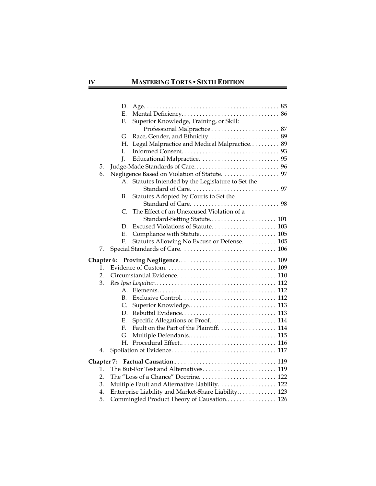|            | D.                                                                                                |
|------------|---------------------------------------------------------------------------------------------------|
|            | Е.                                                                                                |
|            | F.<br>Superior Knowledge, Training, or Skill:                                                     |
|            |                                                                                                   |
|            | G.                                                                                                |
|            | Legal Malpractice and Medical Malpractice 89<br>Н.                                                |
|            | I.                                                                                                |
|            | J.                                                                                                |
| 5.         |                                                                                                   |
| 6.         | Negligence Based on Violation of Statute. 97                                                      |
|            | A. Statutes Intended by the Legislature to Set the                                                |
|            |                                                                                                   |
|            | Statutes Adopted by Courts to Set the<br>В.                                                       |
|            |                                                                                                   |
|            | The Effect of an Unexcused Violation of a<br>C.                                                   |
|            |                                                                                                   |
|            | D.                                                                                                |
|            | Е.                                                                                                |
|            | Statutes Allowing No Excuse or Defense.  105<br>F.                                                |
| 7.         |                                                                                                   |
|            |                                                                                                   |
|            |                                                                                                   |
| 1.         |                                                                                                   |
| 2.         |                                                                                                   |
| 3.         |                                                                                                   |
|            | A.                                                                                                |
|            | В.                                                                                                |
|            | C.                                                                                                |
|            | D.                                                                                                |
|            | Specific Allegations or Proof 114<br>Е.                                                           |
|            | Fault on the Part of the Plaintiff. 114<br>F.                                                     |
|            | G.                                                                                                |
|            | Н.                                                                                                |
| 4.         |                                                                                                   |
|            |                                                                                                   |
|            |                                                                                                   |
| Chapter 7: |                                                                                                   |
| 1.         |                                                                                                   |
| 2.         |                                                                                                   |
| 3.         | Multiple Fault and Alternative Liability. 122                                                     |
| 4.<br>5.   | Enterprise Liability and Market-Share Liability 123<br>Commingled Product Theory of Causation 126 |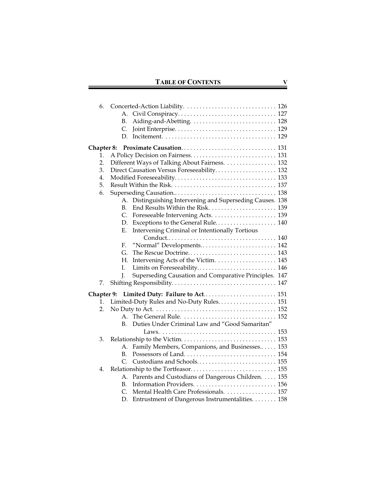| 6.         | А.                                                                                           |
|------------|----------------------------------------------------------------------------------------------|
|            | В.                                                                                           |
|            | C.                                                                                           |
|            | D.                                                                                           |
| Chapter 8: |                                                                                              |
| 1.<br>2.   |                                                                                              |
| 3.         | Different Ways of Talking About Fairness.  132<br>Direct Causation Versus Foreseeability 132 |
| 4.         |                                                                                              |
| 5.         |                                                                                              |
| 6.         |                                                                                              |
|            | Distinguishing Intervening and Superseding Causes. 138<br>А.                                 |
|            | End Results Within the Risk.  139<br>В.                                                      |
|            | Foreseeable Intervening Acts.  139<br>C.                                                     |
|            | Exceptions to the General Rule 140<br>D.                                                     |
|            | Intervening Criminal or Intentionally Tortious<br>Ε.                                         |
|            |                                                                                              |
|            | "Normal" Developments 142<br>F.                                                              |
|            | G.                                                                                           |
|            | Н.<br>Ι.                                                                                     |
|            | Limits on Foreseeability 146<br>I.<br>Superseding Causation and Comparative Principles. 147  |
| 7.         |                                                                                              |
|            |                                                                                              |
| 1.         | Chapter 9: Limited Duty: Failure to Act 151<br>Limited-Duty Rules and No-Duty Rules 151      |
| 2.         |                                                                                              |
|            | $\mathsf{A}_{\cdot}$                                                                         |
|            | Duties Under Criminal Law and "Good Samaritan"<br>B.                                         |
|            |                                                                                              |
| 3.         |                                                                                              |
|            | Family Members, Companions, and Businesses 153<br>А.                                         |
|            | B.                                                                                           |
|            | Custodians and Schools 155<br>C.                                                             |
| 4.         |                                                                                              |
|            | Parents and Custodians of Dangerous Children. 155<br>А.                                      |
|            | B.<br>Mental Health Care Professionals. 157<br>C.                                            |
|            | Entrustment of Dangerous Instrumentalities. 158<br>D.                                        |
|            |                                                                                              |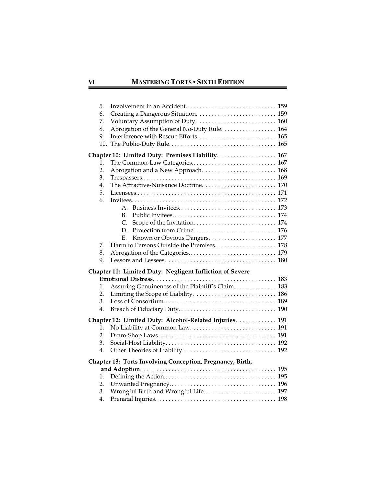$\overline{\phantom{a}}$ 

| 5.  |                                                           |
|-----|-----------------------------------------------------------|
| 6.  |                                                           |
| 7.  | Voluntary Assumption of Duty.  160                        |
| 8.  | Abrogation of the General No-Duty Rule. 164               |
| 9.  | Interference with Rescue Efforts 165                      |
| 10. |                                                           |
|     | Chapter 10: Limited Duty: Premises Liability.  167        |
| 1.  | The Common-Law Categories 167                             |
| 2.  | Abrogation and a New Approach.  168                       |
| 3.  |                                                           |
| 4.  |                                                           |
| 5.  |                                                           |
| 6.  |                                                           |
|     | $A_{-}$                                                   |
|     | $B_{\cdot}$                                               |
|     | C.                                                        |
|     | D.                                                        |
|     | Е.                                                        |
| 7.  |                                                           |
| 8.  |                                                           |
| 9.  |                                                           |
|     |                                                           |
|     | Chapter 11: Limited Duty: Negligent Infliction of Severe  |
|     |                                                           |
| 1.  | Assuring Genuineness of the Plaintiff's Claim 183         |
| 2.  |                                                           |
| 3.  |                                                           |
| 4.  |                                                           |
|     |                                                           |
| 1.  | Chapter 12: Limited Duty: Alcohol-Related Injuries.  191  |
| 2.  |                                                           |
| 3.  |                                                           |
| 4.  |                                                           |
|     | Chapter 13: Torts Involving Conception, Pregnancy, Birth, |
|     |                                                           |
| 1.  |                                                           |
| 2.  |                                                           |
| 3.  | Wrongful Birth and Wrongful Life 197                      |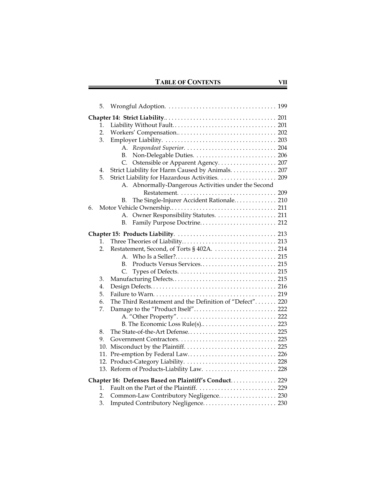| 5.                                                                                                                                                                                                                                                                                                   |  |
|------------------------------------------------------------------------------------------------------------------------------------------------------------------------------------------------------------------------------------------------------------------------------------------------------|--|
| 1.<br>2.<br>3.<br>А.<br>В.<br>Ostensible or Apparent Agency 207<br>C.<br>Strict Liability for Harm Caused by Animals. 207<br>4.<br>Strict Liability for Hazardous Activities. 209<br>5.<br>Abnormally-Dangerous Activities under the Second<br>А.<br>The Single-Injurer Accident Rationale 210<br>В. |  |
| 6.                                                                                                                                                                                                                                                                                                   |  |
| А.                                                                                                                                                                                                                                                                                                   |  |
| В.                                                                                                                                                                                                                                                                                                   |  |
|                                                                                                                                                                                                                                                                                                      |  |
| 1.                                                                                                                                                                                                                                                                                                   |  |
| Restatement, Second, of Torts § 402A.  214<br>2.                                                                                                                                                                                                                                                     |  |
| $A_{\cdot}$                                                                                                                                                                                                                                                                                          |  |
| B.                                                                                                                                                                                                                                                                                                   |  |
| C.                                                                                                                                                                                                                                                                                                   |  |
| 3.                                                                                                                                                                                                                                                                                                   |  |
| 4.                                                                                                                                                                                                                                                                                                   |  |
| 5.                                                                                                                                                                                                                                                                                                   |  |
| The Third Restatement and the Definition of "Defect" 220<br>6.                                                                                                                                                                                                                                       |  |
| 7.                                                                                                                                                                                                                                                                                                   |  |
|                                                                                                                                                                                                                                                                                                      |  |
|                                                                                                                                                                                                                                                                                                      |  |
| 8.                                                                                                                                                                                                                                                                                                   |  |
| 9.                                                                                                                                                                                                                                                                                                   |  |
|                                                                                                                                                                                                                                                                                                      |  |
| 11. Pre-emption by Federal Law 226                                                                                                                                                                                                                                                                   |  |
|                                                                                                                                                                                                                                                                                                      |  |
| 13. Reform of Products-Liability Law.  228                                                                                                                                                                                                                                                           |  |
| Chapter 16: Defenses Based on Plaintiff's Conduct 229                                                                                                                                                                                                                                                |  |
| 1.                                                                                                                                                                                                                                                                                                   |  |
| Common-Law Contributory Negligence 230<br>2.                                                                                                                                                                                                                                                         |  |
| 3.<br>Imputed Contributory Negligence 230                                                                                                                                                                                                                                                            |  |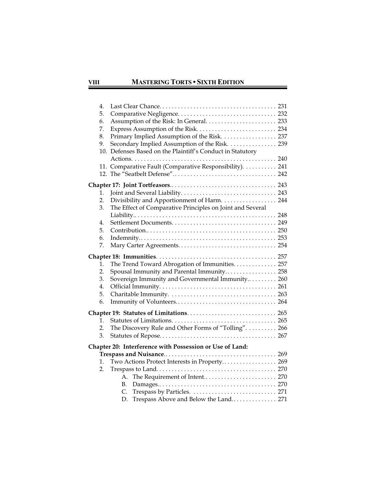#### **VIII MASTERING TORTS • SIXTH EDITION**

 $\sim$   $\sim$ 

| 4.       |                                                            |  |
|----------|------------------------------------------------------------|--|
| 5.       |                                                            |  |
| 6.       |                                                            |  |
| 7.       |                                                            |  |
| 8.       | Primary Implied Assumption of the Risk. 237                |  |
| 9.       | Secondary Implied Assumption of the Risk. 239              |  |
|          | 10. Defenses Based on the Plaintiff's Conduct in Statutory |  |
|          |                                                            |  |
|          | 11. Comparative Fault (Comparative Responsibility).  241   |  |
|          |                                                            |  |
|          |                                                            |  |
| 1.       |                                                            |  |
| 2.       | Divisibility and Apportionment of Harm. 244                |  |
| 3.       | The Effect of Comparative Principles on Joint and Several  |  |
|          |                                                            |  |
| 4.       |                                                            |  |
| 5.       |                                                            |  |
| 6.       |                                                            |  |
| 7.       |                                                            |  |
|          |                                                            |  |
| 1.       | The Trend Toward Abrogation of Immunities. 257             |  |
| 2.       | Spousal Immunity and Parental Immunity 258                 |  |
| 3.       | Sovereign Immunity and Governmental Immunity 260           |  |
| 4.       |                                                            |  |
| 5.       |                                                            |  |
| 6.       |                                                            |  |
|          |                                                            |  |
| 1.       |                                                            |  |
| 2.       | The Discovery Rule and Other Forms of "Tolling".  266      |  |
| 3.       |                                                            |  |
|          |                                                            |  |
|          | Chapter 20: Interference with Possession or Use of Land:   |  |
|          |                                                            |  |
| 1.<br>2. | Two Actions Protect Interests in Property 269              |  |
|          | The Requirement of Intent 270<br>А.                        |  |
|          | В.                                                         |  |
|          | C.                                                         |  |
|          | Trespass Above and Below the Land 271<br>D.                |  |
|          |                                                            |  |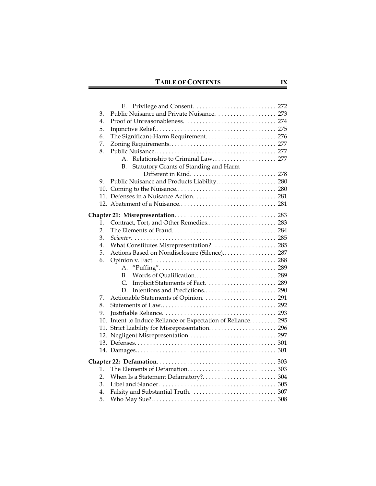| 3. |                                                              |  |
|----|--------------------------------------------------------------|--|
| 4. |                                                              |  |
| 5. |                                                              |  |
| 6. |                                                              |  |
| 7. |                                                              |  |
| 8. |                                                              |  |
|    | Relationship to Criminal Law 277<br>A.                       |  |
|    | Statutory Grants of Standing and Harm<br>В.                  |  |
|    |                                                              |  |
| 9. | Public Nuisance and Products Liability 280                   |  |
|    |                                                              |  |
|    |                                                              |  |
|    |                                                              |  |
|    |                                                              |  |
| 1. | Contract, Tort, and Other Remedies 283                       |  |
| 2. |                                                              |  |
| 3. |                                                              |  |
| 4. |                                                              |  |
| 5. | Actions Based on Nondisclosure (Silence) 287                 |  |
| 6. |                                                              |  |
|    | А.                                                           |  |
|    | Words of Qualification 289<br>В.                             |  |
|    | C.                                                           |  |
|    |                                                              |  |
| 7. |                                                              |  |
| 8. |                                                              |  |
| 9. |                                                              |  |
|    | 10. Intent to Induce Reliance or Expectation of Reliance 295 |  |
|    |                                                              |  |
|    | 12. Negligent Misrepresentation 297                          |  |
|    |                                                              |  |
|    |                                                              |  |
|    |                                                              |  |
| 1. |                                                              |  |
| 2. |                                                              |  |
| 3. |                                                              |  |
| 4. |                                                              |  |
| 5. |                                                              |  |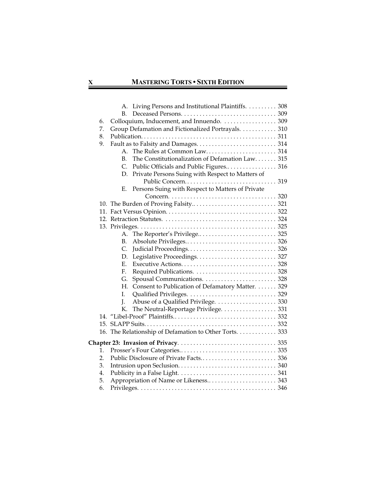$\equiv$ 

|    | A. Living Persons and Institutional Plaintiffs. 308    |  |
|----|--------------------------------------------------------|--|
|    | B.                                                     |  |
| 6. | Colloquium, Inducement, and Innuendo.  309             |  |
| 7. | Group Defamation and Fictionalized Portrayals. 310     |  |
| 8. |                                                        |  |
| 9. |                                                        |  |
|    | $A_{-}$                                                |  |
|    | The Constitutionalization of Defamation Law 315<br>В.  |  |
|    | C.<br>Public Officials and Public Figures 316          |  |
|    | Private Persons Suing with Respect to Matters of<br>D. |  |
|    |                                                        |  |
|    | Persons Suing with Respect to Matters of Private<br>Е. |  |
|    |                                                        |  |
|    |                                                        |  |
|    |                                                        |  |
|    |                                                        |  |
|    |                                                        |  |
|    | A.                                                     |  |
|    | В.                                                     |  |
|    | C.                                                     |  |
|    | D.                                                     |  |
|    | Е.                                                     |  |
|    | F.                                                     |  |
|    | G.                                                     |  |
|    | Н.<br>Consent to Publication of Defamatory Matter. 329 |  |
|    | L.                                                     |  |
|    | J.                                                     |  |
|    | The Neutral-Reportage Privilege. 331<br>К.             |  |
|    |                                                        |  |
|    |                                                        |  |
|    | 16. The Relationship of Defamation to Other Torts. 333 |  |
|    |                                                        |  |
| 1. |                                                        |  |
| 2. |                                                        |  |
| 3. |                                                        |  |
| 4. |                                                        |  |
| 5. |                                                        |  |
| 6. |                                                        |  |
|    |                                                        |  |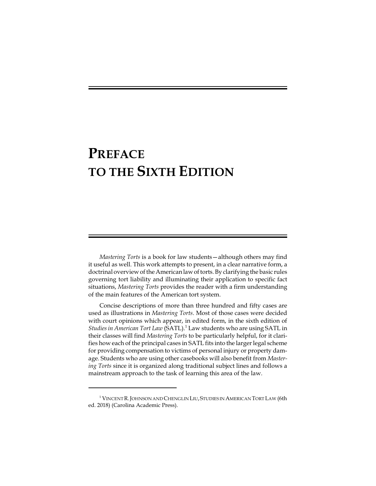## **PREFACE TO THE SIXTH EDITION**

*Mastering Torts* is a book for law students—although others may find it useful as well. This work attempts to present, in a clear narrative form, a doctrinal overview of the American lawof torts. By clarifying the basic rules governing tort liability and illuminating their application to specific fact situations, *Mastering Torts* provides the reader with a firm understanding of the main features of the American tort system.

Concise descriptions of more than three hundred and fifty cases are used as illustrations in *Mastering Torts*. Most of those cases were decided with court opinions which appear, in edited form, in the sixth edition of *Studies in American Tort Law* (SATL).<sup>1</sup> Law students who are using SATL in their classes will find *Mastering Torts* to be particularly helpful, for it clarifies how each of the principal cases in SATL fits into the larger legal scheme for providing compensation to victims of personal injury or property damage. Students who are using other casebooks will also benefit from *Mastering Torts* since it is organized along traditional subject lines and follows a mainstream approach to the task of learning this area of the law.

<sup>&</sup>lt;sup>1</sup> VINCENT R. JOHNSON AND CHENGLIN LIU, STUDIES IN AMERICAN TORT LAW (6th ed. 2018) (Carolina Academic Press).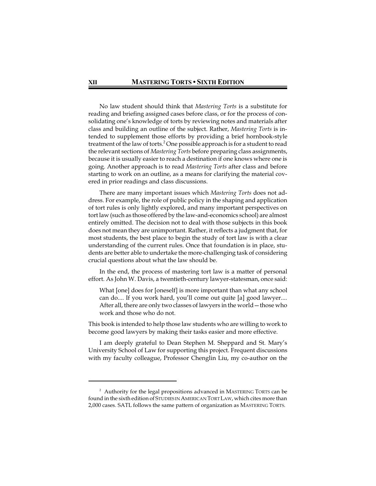No law student should think that *Mastering Torts* is a substitute for reading and briefing assigned cases before class, or for the process of consolidating one's knowledge of torts by reviewing notes and materials after class and building an outline of the subject. Rather, *Mastering Torts* is intended to supplement those efforts by providing a brief hornbook-style treatment of the law of torts.<sup>2</sup> One possible approach is for a student to read the relevant sections of *Mastering Torts* before preparing class assignments, because it is usually easier to reach a destination if one knows where one is going. Another approach is to read *Mastering Torts* after class and before starting to work on an outline, as a means for clarifying the material covered in prior readings and class discussions.

There are many important issues which *Mastering Torts* does not address. For example, the role of public policy in the shaping and application of tort rules is only lightly explored, and many important perspectives on tort law (such as those offered by the law-and-economics school) are almost entirely omitted. The decision not to deal with those subjects in this book does not mean they are unimportant. Rather, it reflects a judgment that, for most students, the best place to begin the study of tort law is with a clear understanding of the current rules. Once that foundation is in place, students are better able to undertake the more-challenging task of considering crucial questions about what the law should be.

In the end, the process of mastering tort law is a matter of personal effort. As John W. Davis, a twentieth-century lawyer-statesman, once said:

What [one] does for [oneself] is more important than what any school can do.... If you work hard, you'll come out quite [a] good lawyer.... After all, there are only two classes of lawyers in the world—those who work and those who do not.

This book is intended to help those law students who are willing to work to become good lawyers by making their tasks easier and more effective.

I am deeply grateful to Dean Stephen M. Sheppard and St. Mary's University School of Law for supporting this project. Frequent discussions with my faculty colleague, Professor Chenglin Liu, my co-author on the

<sup>&</sup>lt;sup>2</sup> Authority for the legal propositions advanced in MASTERING TORTS can be found in the sixth edition of STUDIES IN AMERICAN TORT LAW, which cites more than 2,000 cases*.* SATL follows the same pattern of organization as MASTERING TORTS.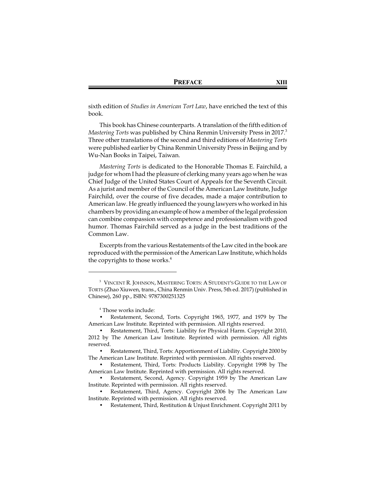sixth edition of *Studies in American Tort Law*, have enriched the text of this book.

This book has Chinese counterparts. A translation of the fifth edition of *Mastering Torts* was published by China Renmin University Press in 2017. 3 Three other translations of the second and third editions of *Mastering Torts* were published earlier by China Renmin University Press in Beijing and by Wu-Nan Books in Taipei, Taiwan.

*Mastering Torts* is dedicated to the Honorable Thomas E. Fairchild, a judge for whom I had the pleasure of clerking many years ago when he was Chief Judge of the United States Court of Appeals for the Seventh Circuit. As a jurist and member of the Council of the American Law Institute, Judge Fairchild, over the course of five decades, made a major contribution to American law. He greatly influenced the young lawyers who worked in his chambers by providing an example of how a member of the legal profession can combine compassion with competence and professionalism with good humor. Thomas Fairchild served as a judge in the best traditions of the Common Law.

Excerpts from the various Restatements of the Law cited in the book are reproduced with the permission of the American Law Institute, whichholds the copyrights to those works.<sup>4</sup>

<sup>3</sup> VINCENT R. JOHNSON, MASTERING TORTS: A STUDENT'S GUIDE TO THE LAW OF TORTS (Zhao Xiuwen, trans., China Renmin Univ. Press, 5th ed. 2017) (published in Chinese), 260 pp., ISBN: 9787300251325

<sup>4</sup> Those works include:

<sup>•</sup> Restatement, Second, Torts. Copyright 1965, 1977, and 1979 by The American Law Institute. Reprinted with permission. All rights reserved.

<sup>•</sup> Restatement, Third, Torts: Liability for Physical Harm. Copyright 2010, 2012 by The American Law Institute. Reprinted with permission. All rights reserved.

<sup>•</sup> Restatement, Third, Torts: Apportionment of Liability. Copyright 2000 by The American Law Institute. Reprinted with permission. All rights reserved.

<sup>•</sup> Restatement, Third, Torts: Products Liability. Copyright 1998 by The American Law Institute. Reprinted with permission. All rights reserved.

<sup>•</sup> Restatement, Second, Agency. Copyright 1959 by The American Law Institute. Reprinted with permission. All rights reserved.

<sup>•</sup> Restatement, Third, Agency. Copyright 2006 by The American Law Institute. Reprinted with permission. All rights reserved.

<sup>•</sup> Restatement, Third, Restitution & Unjust Enrichment. Copyright 2011 by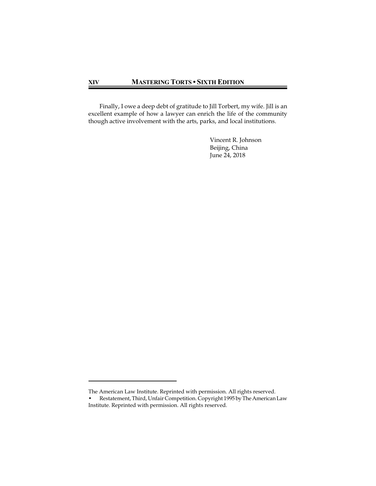Finally, I owe a deep debt of gratitude to Jill Torbert, my wife. Jill is an excellent example of how a lawyer can enrich the life of the community though active involvement with the arts, parks, and local institutions.

> Vincent R. Johnson Beijing, China June 24, 2018

The American Law Institute. Reprinted with permission. All rights reserved.

<sup>•</sup> Restatement, Third, Unfair Competition. Copyright 1995 by The American Law Institute. Reprinted with permission. All rights reserved.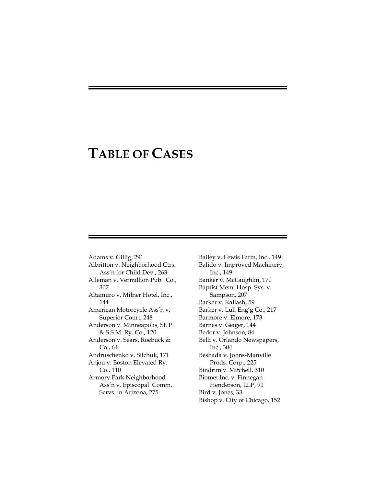### **TABLE OF CASES**

Adams v. Gillig, 291 Albritton v. Neighborhood Ctrs. Ass'n for Child Dev., 263 Alleman v. Vermillion Pub. Co., 307 Altamuro v. Milner Hotel, Inc., 144 American Motorcycle Ass'n v. Superior Court, 248 Anderson v. Minneapolis, St. P. & S.S.M. Ry. Co., 120 Anderson v. Sears, Roebuck & Co., 64 Andruschenko v. Silchuk, 171 Anjou v. Boston Elevated Ry. Co., 110 Armory Park Neighborhood Ass'n v. Episcopal Comm. Servs. in Arizona, 275

Bailey v. Lewis Farm, Inc., 149 Balido v. Improved Machinery, Inc., 149 Banker v. McLaughlin, 170 Baptist Mem. Hosp. Sys. v. Sampson, 207 Barker v. Kallash, 59 Barker v. Lull Eng'g Co., 217 Barmore v. Elmore, 173 Barnes v. Geiger, 144 Bedor v. Johnson, 84 Belli v. Orlando Newspapers, Inc., 304 Beshada v. Johns-Manville Prods. Corp., 225 Bindrim v. Mitchell, 310 Biomet Inc. v. Finnegan Henderson, LLP, 91 Bird v. Jones, 33 Bishop v. City of Chicago, 152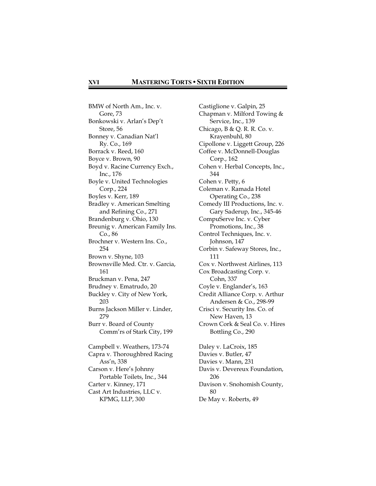BMW of North Am., Inc. v. Gore, 73 Bonkowski v. Arlan's Dep't Store, 56 Bonney v. Canadian Nat'l Ry. Co., 169 Borrack v. Reed, 160 Boyce v. Brown, 90 Boyd v. Racine Currency Exch., Inc., 176 Boyle v. United Technologies Corp., 224 Boyles v. Kerr, 189 Bradley v. American Smelting and Refining Co., 271 Brandenburg v. Ohio, 130 Breunig v. American Family Ins. Co., 86 Brochner v. Western Ins. Co., 254 Brown v. Shyne, 103 Brownsville Med. Ctr. v. Garcia, 161 Bruckman v. Pena, 247 Brudney v. Ematrudo, 20 Buckley v. City of New York, 203 Burns Jackson Miller v. Linder, 279 Burr v. Board of County Comm'rs of Stark City, 199 Campbell v. Weathers, 173-74 Capra v. Thoroughbred Racing Ass'n, 338 Carson v. Here's Johnny Portable Toilets, Inc., 344 Carter v. Kinney, 171 Cast Art Industries, LLC v. KPMG, LLP, 300

Castiglione v. Galpin, 25 Chapman v. Milford Towing & Service, Inc., 139 Chicago, B & Q. R. R. Co. v. Krayenbuhl, 80 Cipollone v. Liggett Group, 226 Coffee v. McDonnell-Douglas Corp., 162 Cohen v. Herbal Concepts, Inc., 344 Cohen v. Petty, 6 Coleman v. Ramada Hotel Operating Co., 238 Comedy III Productions, Inc. v. Gary Saderup, Inc., 345-46 CompuServe Inc. v. Cyber Promotions, Inc., 38 Control Techniques, Inc. v. Johnson, 147 Corbin v. Safeway Stores, Inc., 111 Cox v. Northwest Airlines, 113 Cox Broadcasting Corp. v. Cohn, 337 Coyle v. Englander's, 163 Credit Alliance Corp. v. Arthur Andersen & Co., 298-99 Crisci v. Security Ins. Co. of New Haven, 13 Crown Cork & Seal Co. v. Hires Bottling Co., 290 Daley v. LaCroix, 185 Davies v. Butler, 47 Davies v. Mann, 231 Davis v. Devereux Foundation, 206 Davison v. Snohomish County, 80

De May v. Roberts, 49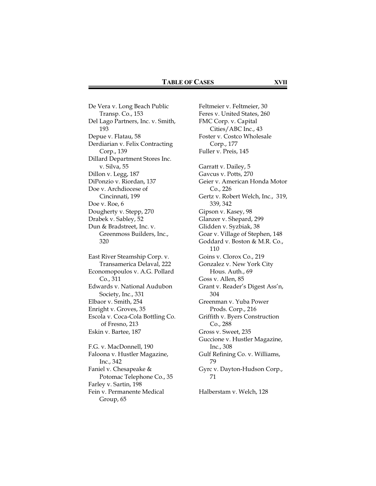De Vera v. Long Beach Public Transp. Co., 153 Del Lago Partners, Inc. v. Smith, 193 Depue v. Flatau, 58 Derdiarian v. Felix Contracting Corp., 139 Dillard Department Stores Inc. v. Silva, 55 Dillon v. Legg, 187 DiPonzio v. Riordan, 137 Doe v. Archdiocese of Cincinnati, 199 Doe v. Roe, 6 Dougherty v. Stepp, 270 Drabek v. Sabley, 52 Dun & Bradstreet, Inc. v. Greenmoss Builders, Inc., 320 East River Steamship Corp. v. Transamerica Delaval, 222 Economopoulos v. A.G. Pollard Co., 311 Edwards v. National Audubon Society, Inc., 331 Elbaor v. Smith, 254 Enright v. Groves, 35 Escola v. Coca-Cola Bottling Co. of Fresno, 213 Eskin v. Bartee, 187 F.G. v. MacDonnell, 190 Faloona v. Hustler Magazine,

Inc., 342 Faniel v. Chesapeake & Potomac Telephone Co., 35 Farley v. Sartin, 198 Fein v. Permanente Medical Group, 65

Feltmeier v. Feltmeier, 30 Feres v. United States, 260 FMC Corp. v. Capital Cities/ABC Inc., 43 Foster v. Costco Wholesale Corp., 177 Fuller v. Preis, 145 Garratt v. Dailey, 5 Gavcus v. Potts, 270 Geier v. American Honda Motor Co., 226 Gertz v. Robert Welch, Inc., 319, 339, 342 Gipson v. Kasey, 98 Glanzer v. Shepard, 299 Glidden v. Syzbiak, 38 Goar v. Village of Stephen, 148 Goddard v. Boston & M.R. Co., 110 Goins v. Clorox Co., 219 Gonzalez v. New York City Hous. Auth., 69 Goss v. Allen, 85 Grant v. Reader's Digest Ass'n, 304 Greenman v. Yuba Power Prods. Corp., 216 Griffith v. Byers Construction Co., 288 Gross v. Sweet, 235 Guccione v. Hustler Magazine, Inc., 308 Gulf Refining Co. v. Williams, 79 Gyrc v. Dayton-Hudson Corp., 71

Halberstam v. Welch, 128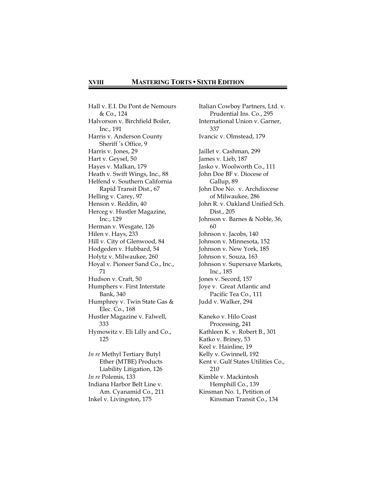#### **XVIII MASTERING TORTS • SIXTH EDITION**

Hall v. E.I. Du Pont de Nemours & Co., 124 Halvorson v. Birchfield Boiler, Inc., 191 Harris v. Anderson County Sheriff 's Office, 9 Harris v. Jones, 29 Hart v. Geysel, 50 Hayes v. Malkan, 179 Heath v. Swift Wings, Inc., 88 Helfend v. Southern California Rapid Transit Dist., 67 Helling v. Carey, 97 Henson v. Reddin, 40 Herceg v. Hustler Magazine, Inc., 129 Herman v. Wesgate, 126 Hilen v. Hays, 233 Hill v. City of Glenwood, 84 Hodgeden v. Hubbard, 54 Holytz v. Milwaukee, 260 Hoyal v. Pioneer Sand Co., Inc., 71 Hudson v. Craft, 50 Humphers v. First Interstate Bank, 340 Humphrey v. Twin State Gas & Elec. Co., 168 Hustler Magazine v. Falwell, 333 Hymowitz v. Eli Lilly and Co., 125 *In re* Methyl Tertiary Butyl Ether (MTBE) Products Liability Litigation, 126 *In re* Polemis, 133 Indiana Harbor Belt Line v. Am. Cyanamid Co., 211 Inkel v. Livingston, 175

Italian Cowboy Partners, Ltd. v. Prudential Ins. Co., 295 International Union v. Garner, 337 Ivancic v. Olmstead, 179 Jaillet v. Cashman, 299 James v. Lieb, 187 Jasko v. Woolworth Co., 111 John Doe BF v. Diocese of Gallup, 89 John Doe No. v. Archdiocese of Milwaukee, 286 John R. v. Oakland Unified Sch. Dist., 205 Johnson v. Barnes & Noble, 36, 60 Johnson v. Jacobs, 140 Johnson v. Minnesota, 152 Johnson v. New York, 185 Johnson v. Souza, 163 Johnson v. Supersave Markets, Inc., 185 Jones v. Secord, 157 Joye v. Great Atlantic and Pacific Tea Co., 111 Judd v. Walker, 294 Kaneko v. Hilo Coast Processing, 241 Kathleen K. v. Robert B., 301 Katko v. Briney, 53 Keel v. Hainline, 19 Kelly v. Gwinnell, 192 Kent v. Gulf States Utilities Co., 210 Kimble v. Mackintosh Hemphill Co., 139 Kinsman No. 1, Petition of Kinsman Transit Co., 134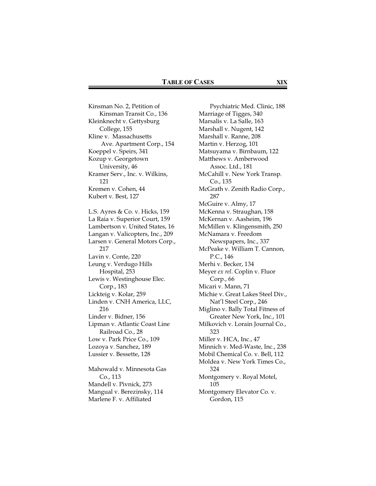Kinsman No. 2, Petition of Kinsman Transit Co., 136 Kleinknecht v. Gettysburg College, 155 Kline v. Massachusetts Ave. Apartment Corp., 154 Koeppel v. Speirs, 341 Kozup v. Georgetown University, 46 Kramer Serv., Inc. v. Wilkins, 121 Kremen v. Cohen, 44 Kubert v. Best, 127 L.S. Ayres & Co. v. Hicks, 159 La Raia v. Superior Court, 159 Lambertson v. United States, 16 Langan v. Valicopters, Inc., 209 Larsen v. General Motors Corp., 217 Lavin v. Conte, 220 Leung v. Verdugo Hills Hospital, 253 Lewis v. Westinghouse Elec. Corp., 183 Lickteig v. Kolar, 259 Linden v. CNH America, LLC, 216 Linder v. Bidner, 156 Lipman v. Atlantic Coast Line Railroad Co., 28 Low v. Park Price Co., 109 Lozoya v. Sanchez, 189 Lussier v. Bessette, 128 Mahowald v. Minnesota Gas Co., 113 Mandell v. Pivnick, 273 Mangual v. Berezinsky, 114

Marlene F. v. Affiliated

Psychiatric Med. Clinic, 188 Marriage of Tigges, 340 Marsalis v. La Salle, 163 Marshall v. Nugent, 142 Marshall v. Ranne, 208 Martin v. Herzog, 101 Matsuyama v. Birnbaum, 122 Matthews v. Amberwood Assoc. Ltd., 181 McCahill v. New York Transp. Co., 135 McGrath v. Zenith Radio Corp., 287 McGuire v. Almy, 17 McKenna v. Straughan, 158 McKernan v. Aasheim, 196 McMillen v. Klingensmith, 250 McNamara v. Freedom Newspapers, Inc., 337 McPeake v. William T. Cannon, P.C., 146 Merhi v. Becker, 134 Meyer *ex rel*. Coplin v. Fluor Corp., 66 Micari v. Mann, 71 Michie v. Great Lakes Steel Div., Nat'l Steel Corp., 246 Miglino v. Bally Total Fitness of Greater New York, Inc., 101 Milkovich v. Lorain Journal Co., 323 Miller v. HCA, Inc., 47 Minnich v. Med-Waste, Inc., 238 Mobil Chemical Co. v. Bell, 112 Moldea v. New York Times Co., 324 Montgomery v. Royal Motel, 105 Montgomery Elevator Co. v. Gordon, 115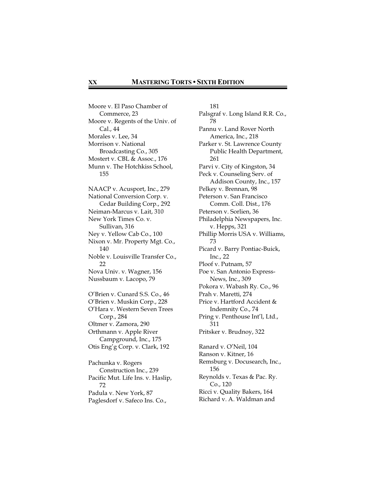Moore v. El Paso Chamber of Commerce, 23 Moore v. Regents of the Univ. of Cal., 44 Morales v. Lee, 34 Morrison v. National Broadcasting Co., 305 Mostert v. CBL & Assoc., 176 Munn v. The Hotchkiss School, 155 NAACP v. Acusport, Inc., 279 National Conversion Corp. v. Cedar Building Corp., 292 Neiman-Marcus v. Lait, 310 New York Times Co. v. Sullivan, 316 Ney v. Yellow Cab Co., 100 Nixon v. Mr. Property Mgt. Co., 140 Noble v. Louisville Transfer Co., 22 Nova Univ. v. Wagner, 156 Nussbaum v. Lacopo, 79 O'Brien v. Cunard S.S. Co., 46 O'Brien v. Muskin Corp., 228 O'Hara v. Western Seven Trees Corp., 284 Oltmer v. Zamora, 290 Orthmann v. Apple River Campground, Inc., 175 Otis Eng'g Corp. v. Clark, 192 Pachunka v. Rogers Construction Inc., 239 Pacific Mut. Life Ins. v. Haslip, 72 Padula v. New York, 87

Paglesdorf v. Safeco Ins. Co.,

181 Palsgraf v. Long Island R.R. Co., 78 Pannu v. Land Rover North America, Inc., 218 Parker v. St. Lawrence County Public Health Department, 261 Parvi v. City of Kingston, 34 Peck v. Counseling Serv. of Addison County, Inc., 157 Pelkey v. Brennan, 98 Peterson v. San Francisco Comm. Coll. Dist., 176 Peterson v. Sorlien, 36 Philadelphia Newspapers, Inc. v. Hepps, 321 Phillip Morris USA v. Williams, 73 Picard v. Barry Pontiac-Buick, Inc., 22 Ploof v. Putnam, 57 Poe v. San Antonio Express-News, Inc., 309 Pokora v. Wabash Ry. Co., 96 Prah v. Maretti, 274 Price v. Hartford Accident & Indemnity Co., 74 Pring v. Penthouse Int'l, Ltd., 311 Pritsker v. Brudnoy, 322 Ranard v. O'Neil, 104 Ranson v. Kitner, 16 Remsburg v. Docusearch, Inc., 156 Reynolds v. Texas & Pac. Ry.

Co., 120 Ricci v. Quality Bakers, 164

Richard v. A. Waldman and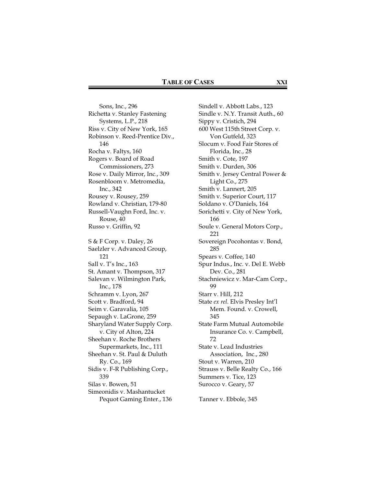Sons, Inc., 296 Richetta v. Stanley Fastening Systems, L.P., 218 Riss v. City of New York, 165 Robinson v. Reed-Prentice Div., 146 Rocha v. Faltys, 160 Rogers v. Board of Road Commissioners, 273 Rose v. Daily Mirror, Inc., 309 Rosenbloom v. Metromedia, Inc., 342 Rousey v. Rousey, 259 Rowland v. Christian, 179-80 Russell-Vaughn Ford, Inc. v. Rouse, 40 Russo v. Griffin, 92 S & F Corp. v. Daley, 26 Saelzler v. Advanced Group, 121 Sall v. T's Inc., 163 St. Amant v. Thompson, 317 Salevan v. Wilmington Park, Inc., 178 Schramm v. Lyon, 267 Scott v. Bradford, 94 Seim v. Garavalia, 105 Sepaugh v. LaGrone, 259 Sharyland Water Supply Corp. v. City of Alton, 224 Sheehan v. Roche Brothers Supermarkets, Inc., 111 Sheehan v. St. Paul & Duluth Ry. Co., 169 Sidis v. F-R Publishing Corp., 339 Silas v. Bowen, 51 Simeonidis v. Mashantucket Pequot Gaming Enter., 136

Sindell v. Abbott Labs., 123 Sindle v. N.Y. Transit Auth., 60 Sippy v. Cristich, 294 600 West 115th Street Corp. v. Von Gutfeld, 323 Slocum v. Food Fair Stores of Florida, Inc., 28 Smith v. Cote, 197 Smith v. Durden, 306 Smith v. Jersey Central Power & Light Co., 275 Smith v. Lannert, 205 Smith v. Superior Court, 117 Soldano v. O'Daniels, 164 Sorichetti v. City of New York, 166 Soule v. General Motors Corp., 221 Sovereign Pocohontas v. Bond, 285 Spears v. Coffee, 140 Spur Indus., Inc. v. Del E. Webb Dev. Co., 281 Stachniewicz v. Mar-Cam Corp., 99 Starr v. Hill, 212 State *ex rel*. Elvis Presley Int'l Mem. Found. v. Crowell, 345 State Farm Mutual Automobile Insurance Co. v. Campbell, 72 State v. Lead Industries Association, Inc., 280 Stout v. Warren, 210 Strauss v. Belle Realty Co., 166 Summers v. Tice, 123 Surocco v. Geary, 57

Tanner v. Ebbole, 345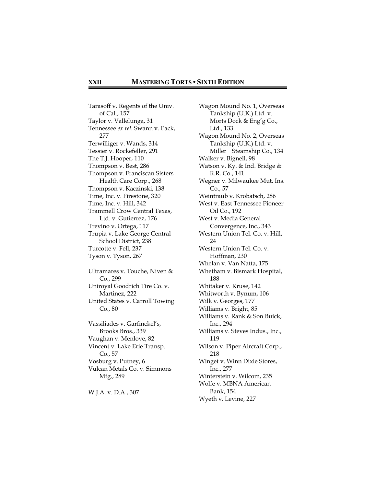Tarasoff v. Regents of the Univ. of Cal., 157 Taylor v. Vallelunga, 31 Tennessee *ex rel*. Swann v. Pack, 277 Terwilliger v. Wands, 314 Tessier v. Rockefeller, 291 The T.J. Hooper, 110 Thompson v. Best, 286 Thompson v. Franciscan Sisters Health Care Corp., 268 Thompson v. Kaczinski, 138 Time, Inc. v. Firestone, 320 Time, Inc. v. Hill, 342 Trammell Crow Central Texas, Ltd. v. Gutierrez, 176 Trevino v. Ortega, 117 Trupia v. Lake George Central School District, 238 Turcotte v. Fell, 237 Tyson v. Tyson, 267 Ultramares v. Touche, Niven & Co., 299 Uniroyal Goodrich Tire Co. v. Martinez, 222 United States v. Carroll Towing Co., 80 Vassiliades v. Garfinckel's, Brooks Bros., 339 Vaughan v. Menlove, 82 Vincent v. Lake Erie Transp. Co., 57 Vosburg v. Putney, 6 Vulcan Metals Co. v. Simmons Mfg., 289

W.J.A. v. D.A., 307

Wagon Mound No. 1, Overseas Tankship (U.K.) Ltd. v. Morts Dock & Eng'g Co., Ltd., 133 Wagon Mound No. 2, Overseas Tankship (U.K.) Ltd. v. Miller Steamship Co., 134 Walker v. Bignell, 98 Watson v. Ky. & Ind. Bridge & R.R. Co., 141 Wegner v. Milwaukee Mut. Ins. Co., 57 Weintraub v. Krobatsch, 286 West v. East Tennessee Pioneer Oil Co., 192 West v. Media General Convergence, Inc., 343 Western Union Tel. Co. v. Hill, 24 Western Union Tel. Co. v. Hoffman, 230 Whelan v. Van Natta, 175 Whetham v. Bismark Hospital, 188 Whitaker v. Kruse, 142 Whitworth v. Bynum, 106 Wilk v. Georges, 177 Williams v. Bright, 85 Williams v. Rank & Son Buick, Inc., 294 Williams v. Steves Indus., Inc., 119 Wilson v. Piper Aircraft Corp., 218 Winget v. Winn Dixie Stores, Inc., 277 Winterstein v. Wilcom, 235 Wolfe v. MBNA American Bank, 154 Wyeth v. Levine, 227